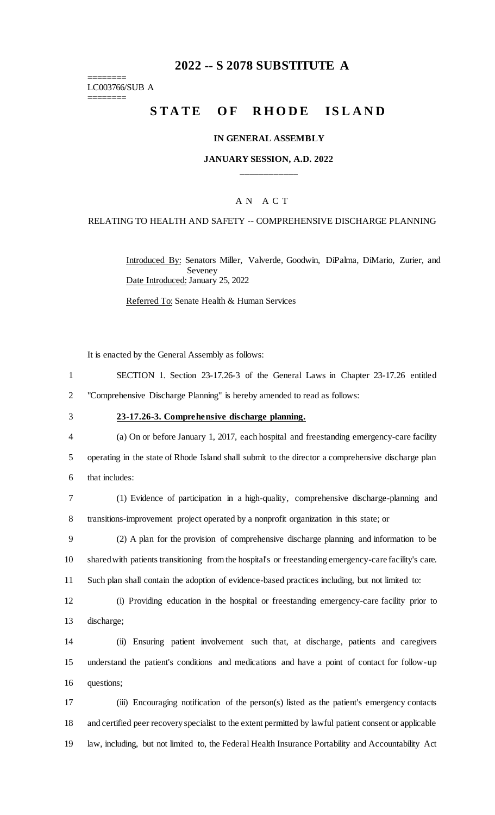# **2022 -- S 2078 SUBSTITUTE A**

======== LC003766/SUB A

========

# STATE OF RHODE ISLAND

#### **IN GENERAL ASSEMBLY**

## **JANUARY SESSION, A.D. 2022 \_\_\_\_\_\_\_\_\_\_\_\_**

## A N A C T

#### RELATING TO HEALTH AND SAFETY -- COMPREHENSIVE DISCHARGE PLANNING

Introduced By: Senators Miller, Valverde, Goodwin, DiPalma, DiMario, Zurier, and Seveney Date Introduced: January 25, 2022

Referred To: Senate Health & Human Services

It is enacted by the General Assembly as follows:

| SECTION 1. Section 23-17.26-3 of the General Laws in Chapter 23-17.26 entitled |
|--------------------------------------------------------------------------------|
| "Comprehensive Discharge Planning" is hereby amended to read as follows:       |

### 3 **23-17.26-3. Comprehensive discharge planning.**

4 (a) On or before January 1, 2017, each hospital and freestanding emergency-care facility 5 operating in the state of Rhode Island shall submit to the director a comprehensive discharge plan 6 that includes:

7 (1) Evidence of participation in a high-quality, comprehensive discharge-planning and 8 transitions-improvement project operated by a nonprofit organization in this state; or

9 (2) A plan for the provision of comprehensive discharge planning and information to be 10 shared with patients transitioning from the hospital's or freestanding emergency-care facility's care. 11 Such plan shall contain the adoption of evidence-based practices including, but not limited to:

12 (i) Providing education in the hospital or freestanding emergency-care facility prior to 13 discharge;

14 (ii) Ensuring patient involvement such that, at discharge, patients and caregivers 15 understand the patient's conditions and medications and have a point of contact for follow-up 16 questions;

17 (iii) Encouraging notification of the person(s) listed as the patient's emergency contacts 18 and certified peer recoveryspecialist to the extent permitted by lawful patient consent or applicable 19 law, including, but not limited to, the Federal Health Insurance Portability and Accountability Act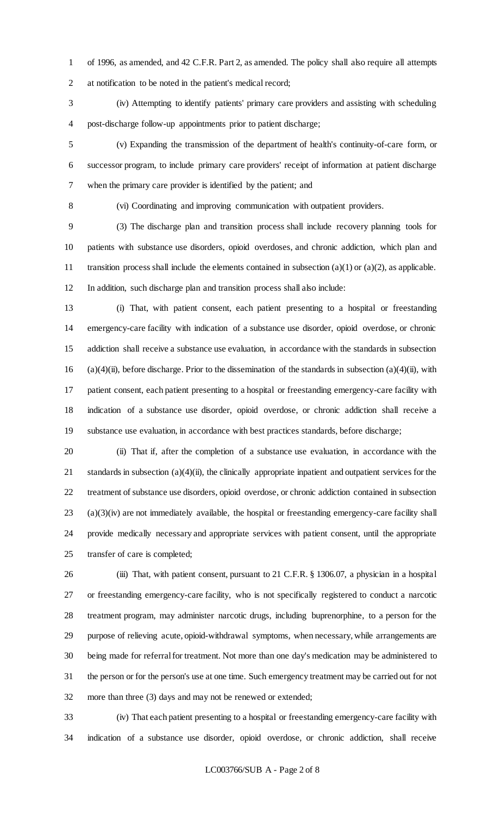of 1996, as amended, and 42 C.F.R. Part 2, as amended. The policy shall also require all attempts at notification to be noted in the patient's medical record;

 (iv) Attempting to identify patients' primary care providers and assisting with scheduling post-discharge follow-up appointments prior to patient discharge;

 (v) Expanding the transmission of the department of health's continuity-of-care form, or successor program, to include primary care providers' receipt of information at patient discharge when the primary care provider is identified by the patient; and

(vi) Coordinating and improving communication with outpatient providers.

 (3) The discharge plan and transition process shall include recovery planning tools for patients with substance use disorders, opioid overdoses, and chronic addiction, which plan and 11 transition process shall include the elements contained in subsection  $(a)(1)$  or  $(a)(2)$ , as applicable. In addition, such discharge plan and transition process shall also include:

 (i) That, with patient consent, each patient presenting to a hospital or freestanding emergency-care facility with indication of a substance use disorder, opioid overdose, or chronic addiction shall receive a substance use evaluation, in accordance with the standards in subsection 16 (a)(4)(ii), before discharge. Prior to the dissemination of the standards in subsection (a)(4)(ii), with patient consent, each patient presenting to a hospital or freestanding emergency-care facility with indication of a substance use disorder, opioid overdose, or chronic addiction shall receive a substance use evaluation, in accordance with best practices standards, before discharge;

 (ii) That if, after the completion of a substance use evaluation, in accordance with the standards in subsection (a)(4)(ii), the clinically appropriate inpatient and outpatient services for the treatment of substance use disorders, opioid overdose, or chronic addiction contained in subsection (a)(3)(iv) are not immediately available, the hospital or freestanding emergency-care facility shall provide medically necessary and appropriate services with patient consent, until the appropriate transfer of care is completed;

 (iii) That, with patient consent, pursuant to 21 C.F.R. § 1306.07, a physician in a hospital or freestanding emergency-care facility, who is not specifically registered to conduct a narcotic treatment program, may administer narcotic drugs, including buprenorphine, to a person for the purpose of relieving acute, opioid-withdrawal symptoms, when necessary, while arrangements are being made for referral for treatment. Not more than one day's medication may be administered to the person or for the person's use at one time. Such emergency treatment may be carried out for not more than three (3) days and may not be renewed or extended;

 (iv) That each patient presenting to a hospital or freestanding emergency-care facility with indication of a substance use disorder, opioid overdose, or chronic addiction, shall receive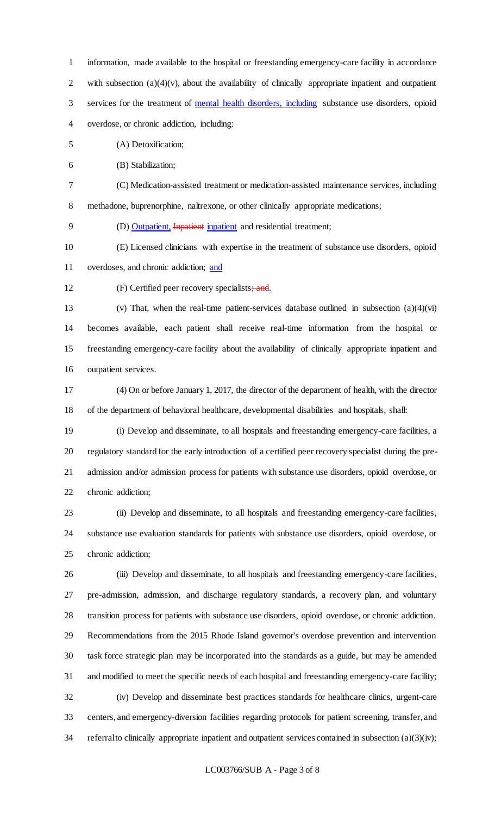information, made available to the hospital or freestanding emergency-care facility in accordance 2 with subsection  $(a)(4)(v)$ , about the availability of clinically appropriate inpatient and outpatient 3 services for the treatment of mental health disorders, including substance use disorders, opioid overdose, or chronic addiction, including:

(A) Detoxification;

(B) Stabilization;

 (C) Medication-assisted treatment or medication-assisted maintenance services, including methadone, buprenorphine, naltrexone, or other clinically appropriate medications;

(D) Outpatient, Inpatient inpatient and residential treatment;

(E) Licensed clinicians with expertise in the treatment of substance use disorders, opioid

overdoses, and chronic addiction; and

12 (F) Certified peer recovery specialists; and.

 (v) That, when the real-time patient-services database outlined in subsection (a)(4)(vi) becomes available, each patient shall receive real-time information from the hospital or freestanding emergency-care facility about the availability of clinically appropriate inpatient and outpatient services.

 (4) On or before January 1, 2017, the director of the department of health, with the director of the department of behavioral healthcare, developmental disabilities and hospitals, shall:

 (i) Develop and disseminate, to all hospitals and freestanding emergency-care facilities, a regulatory standard for the early introduction of a certified peer recovery specialist during the pre- admission and/or admission process for patients with substance use disorders, opioid overdose, or chronic addiction;

 (ii) Develop and disseminate, to all hospitals and freestanding emergency-care facilities, substance use evaluation standards for patients with substance use disorders, opioid overdose, or chronic addiction;

 (iii) Develop and disseminate, to all hospitals and freestanding emergency-care facilities, pre-admission, admission, and discharge regulatory standards, a recovery plan, and voluntary transition process for patients with substance use disorders, opioid overdose, or chronic addiction. Recommendations from the 2015 Rhode Island governor's overdose prevention and intervention task force strategic plan may be incorporated into the standards as a guide, but may be amended and modified to meet the specific needs of each hospital and freestanding emergency-care facility; (iv) Develop and disseminate best practices standards for healthcare clinics, urgent-care centers, and emergency-diversion facilities regarding protocols for patient screening, transfer, and 34 referral to clinically appropriate inpatient and outpatient services contained in subsection (a)(3)(iv);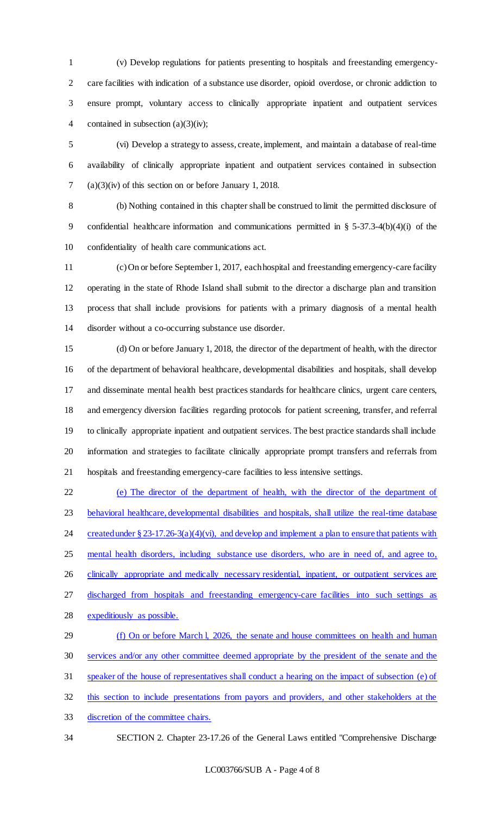(v) Develop regulations for patients presenting to hospitals and freestanding emergency- care facilities with indication of a substance use disorder, opioid overdose, or chronic addiction to ensure prompt, voluntary access to clinically appropriate inpatient and outpatient services 4 contained in subsection (a)(3)(iv);

 (vi) Develop a strategy to assess, create, implement, and maintain a database of real-time availability of clinically appropriate inpatient and outpatient services contained in subsection (a)(3)(iv) of this section on or before January 1, 2018.

 (b) Nothing contained in this chapter shall be construed to limit the permitted disclosure of confidential healthcare information and communications permitted in § 5-37.3-4(b)(4)(i) of the confidentiality of health care communications act.

 (c) On or before September 1, 2017, each hospital and freestanding emergency-care facility operating in the state of Rhode Island shall submit to the director a discharge plan and transition process that shall include provisions for patients with a primary diagnosis of a mental health disorder without a co-occurring substance use disorder.

 (d) On or before January 1, 2018, the director of the department of health, with the director of the department of behavioral healthcare, developmental disabilities and hospitals, shall develop and disseminate mental health best practices standards for healthcare clinics, urgent care centers, and emergency diversion facilities regarding protocols for patient screening, transfer, and referral to clinically appropriate inpatient and outpatient services. The best practice standards shall include information and strategies to facilitate clinically appropriate prompt transfers and referrals from hospitals and freestanding emergency-care facilities to less intensive settings.

 (e) The director of the department of health, with the director of the department of behavioral healthcare, developmental disabilities and hospitals, shall utilize the real-time database 24 created under  $\S 23-17.26-3(a)(4)(vi)$ , and develop and implement a plan to ensure that patients with mental health disorders, including substance use disorders, who are in need of, and agree to, 26 clinically appropriate and medically necessary residential, inpatient, or outpatient services are discharged from hospitals and freestanding emergency-care facilities into such settings as expeditiously as possible. (f) On or before March l, 2026, the senate and house committees on health and human services and/or any other committee deemed appropriate by the president of the senate and the speaker of the house of representatives shall conduct a hearing on the impact of subsection (e) of

this section to include presentations from payors and providers, and other stakeholders at the

discretion of the committee chairs.

SECTION 2. Chapter 23-17.26 of the General Laws entitled "Comprehensive Discharge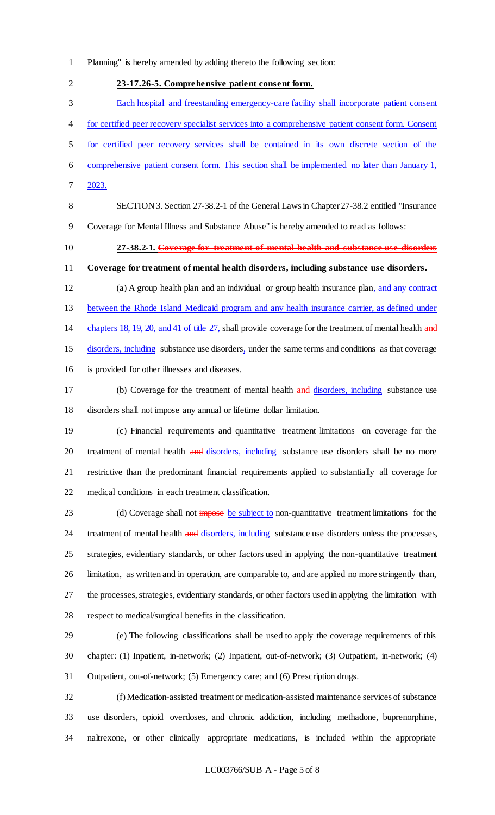Planning" is hereby amended by adding thereto the following section:

 **23-17.26-5. Comprehensive patient consent form.** Each hospital and freestanding emergency-care facility shall incorporate patient consent for certified peer recovery specialist services into a comprehensive patient consent form. Consent for certified peer recovery services shall be contained in its own discrete section of the comprehensive patient consent form. This section shall be implemented no later than January 1, 2023. SECTION 3. Section 27-38.2-1 of the General Laws in Chapter 27-38.2 entitled "Insurance

Coverage for Mental Illness and Substance Abuse" is hereby amended to read as follows:

**27-38.2-1. Coverage for treatment of mental health and substance use disorders**

**Coverage for treatment of mental health disorders, including substance use disorders.**

 (a) A group health plan and an individual or group health insurance plan, and any contract between the Rhode Island Medicaid program and any health insurance carrier, as defined under 14 chapters 18, 19, 20, and 41 of title 27, shall provide coverage for the treatment of mental health and disorders, including substance use disorders, under the same terms and conditions as that coverage is provided for other illnesses and diseases.

17 (b) Coverage for the treatment of mental health and disorders, including substance use disorders shall not impose any annual or lifetime dollar limitation.

 (c) Financial requirements and quantitative treatment limitations on coverage for the 20 treatment of mental health and disorders, including substance use disorders shall be no more restrictive than the predominant financial requirements applied to substantially all coverage for medical conditions in each treatment classification.

23 (d) Coverage shall not impose be subject to non-quantitative treatment limitations for the 24 treatment of mental health and disorders, including substance use disorders unless the processes, strategies, evidentiary standards, or other factors used in applying the non-quantitative treatment limitation, as written and in operation, are comparable to, and are applied no more stringently than, the processes, strategies, evidentiary standards, or other factors used in applying the limitation with respect to medical/surgical benefits in the classification.

 (e) The following classifications shall be used to apply the coverage requirements of this chapter: (1) Inpatient, in-network; (2) Inpatient, out-of-network; (3) Outpatient, in-network; (4) Outpatient, out-of-network; (5) Emergency care; and (6) Prescription drugs.

 (f) Medication-assisted treatment or medication-assisted maintenance services of substance use disorders, opioid overdoses, and chronic addiction, including methadone, buprenorphine, naltrexone, or other clinically appropriate medications, is included within the appropriate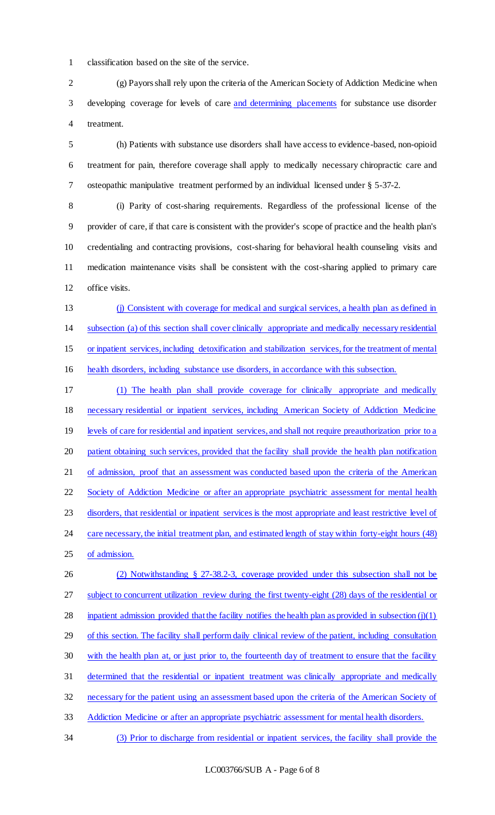classification based on the site of the service.

 (g) Payors shall rely upon the criteria of the American Society of Addiction Medicine when developing coverage for levels of care and determining placements for substance use disorder treatment.

 (h) Patients with substance use disorders shall have access to evidence-based, non-opioid treatment for pain, therefore coverage shall apply to medically necessary chiropractic care and osteopathic manipulative treatment performed by an individual licensed under § 5-37-2.

 (i) Parity of cost-sharing requirements. Regardless of the professional license of the provider of care, if that care is consistent with the provider's scope of practice and the health plan's credentialing and contracting provisions, cost-sharing for behavioral health counseling visits and medication maintenance visits shall be consistent with the cost-sharing applied to primary care 12 office visits.

 (j) Consistent with coverage for medical and surgical services, a health plan as defined in subsection (a) of this section shall cover clinically appropriate and medically necessary residential or inpatient services, including detoxification and stabilization services, for the treatment of mental health disorders, including substance use disorders, in accordance with this subsection.

 (1) The health plan shall provide coverage for clinically appropriate and medically necessary residential or inpatient services, including American Society of Addiction Medicine 19 levels of care for residential and inpatient services, and shall not require preauthorization prior to a patient obtaining such services, provided that the facility shall provide the health plan notification of admission, proof that an assessment was conducted based upon the criteria of the American 22 Society of Addiction Medicine or after an appropriate psychiatric assessment for mental health disorders, that residential or inpatient services is the most appropriate and least restrictive level of 24 care necessary, the initial treatment plan, and estimated length of stay within forty-eight hours (48) of admission.

 (2) Notwithstanding § 27-38.2-3, coverage provided under this subsection shall not be subject to concurrent utilization review during the first twenty-eight (28) days of the residential or 28 inpatient admission provided that the facility notifies the health plan as provided in subsection  $(j)(1)$ 29 of this section. The facility shall perform daily clinical review of the patient, including consultation with the health plan at, or just prior to, the fourteenth day of treatment to ensure that the facility determined that the residential or inpatient treatment was clinically appropriate and medically necessary for the patient using an assessment based upon the criteria of the American Society of Addiction Medicine or after an appropriate psychiatric assessment for mental health disorders.

(3) Prior to discharge from residential or inpatient services, the facility shall provide the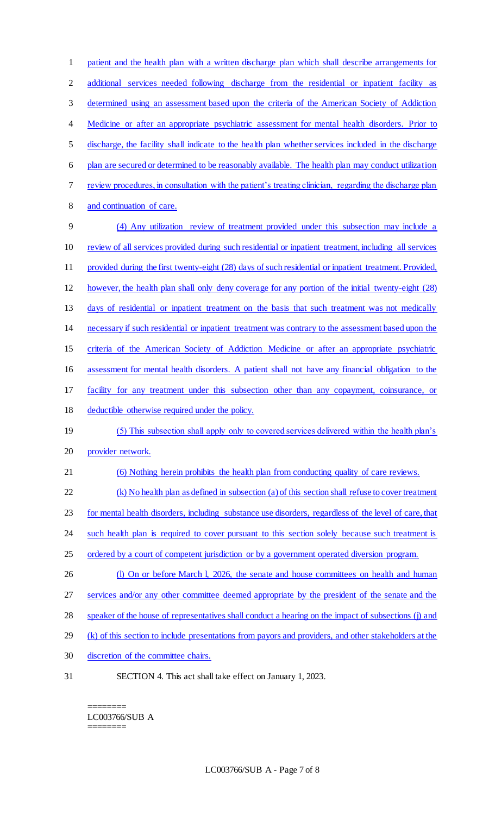patient and the health plan with a written discharge plan which shall describe arrangements for additional services needed following discharge from the residential or inpatient facility as determined using an assessment based upon the criteria of the American Society of Addiction 4 Medicine or after an appropriate psychiatric assessment for mental health disorders. Prior to discharge, the facility shall indicate to the health plan whether services included in the discharge plan are secured or determined to be reasonably available. The health plan may conduct utilization review procedures, in consultation with the patient's treating clinician, regarding the discharge plan and continuation of care. (4) Any utilization review of treatment provided under this subsection may include a review of all services provided during such residential or inpatient treatment, including all services provided during the first twenty-eight (28) days of such residential or inpatient treatment. Provided, however, the health plan shall only deny coverage for any portion of the initial twenty-eight (28) days of residential or inpatient treatment on the basis that such treatment was not medically necessary if such residential or inpatient treatment was contrary to the assessment based upon the criteria of the American Society of Addiction Medicine or after an appropriate psychiatric assessment for mental health disorders. A patient shall not have any financial obligation to the facility for any treatment under this subsection other than any copayment, coinsurance, or 18 deductible otherwise required under the policy. (5) This subsection shall apply only to covered services delivered within the health plan's provider network. (6) Nothing herein prohibits the health plan from conducting quality of care reviews. (k) No health plan as defined in subsection (a) of this section shall refuse to cover treatment for mental health disorders, including substance use disorders, regardless of the level of care, that 24 such health plan is required to cover pursuant to this section solely because such treatment is 25 ordered by a court of competent jurisdiction or by a government operated diversion program. 26 (l) On or before March l, 2026, the senate and house committees on health and human services and/or any other committee deemed appropriate by the president of the senate and the speaker of the house of representatives shall conduct a hearing on the impact of subsections (j) and 29 (k) of this section to include presentations from payors and providers, and other stakeholders at the discretion of the committee chairs. SECTION 4. This act shall take effect on January 1, 2023.

======== LC003766/SUB A ========